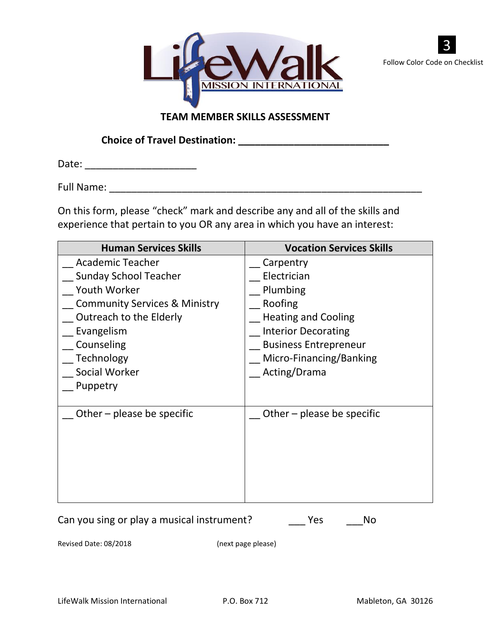



## **TEAM MEMBER SKILLS ASSESSMENT**

**Choice of Travel Destination: \_\_\_\_\_\_\_\_\_\_\_\_\_\_\_\_\_\_\_\_\_\_\_\_\_\_\_**

Date: \_\_\_\_\_\_\_\_\_\_\_\_\_\_\_\_\_\_\_\_

Full Name: \_\_\_\_\_\_\_\_\_\_\_\_\_\_\_\_\_\_\_\_\_\_\_\_\_\_\_\_\_\_\_\_\_\_\_\_\_\_\_\_\_\_\_\_\_\_\_\_\_\_\_\_\_\_\_\_

On this form, please "check" mark and describe any and all of the skills and experience that pertain to you OR any area in which you have an interest:

| <b>Human Services Skills</b>             | <b>Vocation Services Skills</b> |
|------------------------------------------|---------------------------------|
| <b>Academic Teacher</b>                  | Carpentry                       |
| <b>Sunday School Teacher</b>             | Electrician                     |
| Youth Worker                             | Plumbing                        |
| <b>Community Services &amp; Ministry</b> | Roofing                         |
| Outreach to the Elderly                  | <b>Heating and Cooling</b>      |
| Evangelism                               | <b>Interior Decorating</b>      |
| Counseling                               | <b>Business Entrepreneur</b>    |
| Technology                               | Micro-Financing/Banking         |
| Social Worker                            | Acting/Drama                    |
| Puppetry                                 |                                 |
|                                          |                                 |
| Other $-$ please be specific             | Other $-$ please be specific    |
|                                          |                                 |
|                                          |                                 |
|                                          |                                 |
|                                          |                                 |
|                                          |                                 |
|                                          |                                 |

Can you sing or play a musical instrument? \_\_\_\_\_\_\_Yes \_\_\_\_\_\_No

Revised Date: 08/2018 (next page please)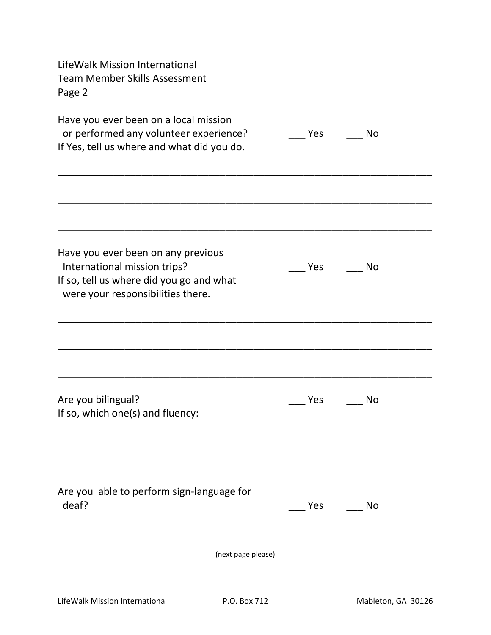| LifeWalk Mission International<br><b>Team Member Skills Assessment</b><br>Page 2                                                                    |     |           |  |
|-----------------------------------------------------------------------------------------------------------------------------------------------------|-----|-----------|--|
| Have you ever been on a local mission<br>or performed any volunteer experience?<br>If Yes, tell us where and what did you do.                       | Yes | No        |  |
|                                                                                                                                                     |     |           |  |
| Have you ever been on any previous<br>International mission trips?<br>If so, tell us where did you go and what<br>were your responsibilities there. | Yes | <b>No</b> |  |
|                                                                                                                                                     |     |           |  |
| Are you bilingual?<br>If so, which one(s) and fluency:                                                                                              | Yes | No        |  |
|                                                                                                                                                     |     |           |  |
| Are you able to perform sign-language for<br>deaf?                                                                                                  | Yes | No        |  |
| (next page please)                                                                                                                                  |     |           |  |